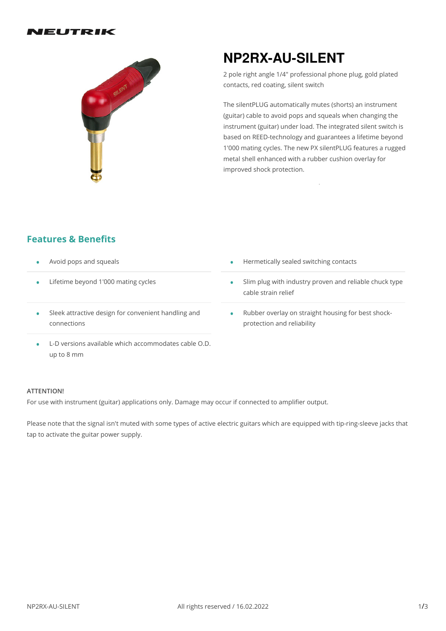



# **NP2RX-AU-SILENT**

2 pole right angle 1/4" professional phone plug, gold plated contacts, red coating, silent switch

The silentPLUG automatically mutes (shorts) an instrument (guitar) cable to avoid pops and squeals when changing the instrument (guitar) under load. The integrated silent switch is based on REED-technology and guarantees a lifetime beyond 1'000 mating cycles. The new PX silentPLUG features a rugged metal shell enhanced with a rubber cushion overlay for improved shock protection.

### **Features & Benefits**

- 
- Lifetime beyond 1'000 mating cycles •
- Sleek attractive design for convenient handling and connections •
- L-D versions available which accommodates cable O.D. up to 8 mm

#### **ATTENTION!**

For use with instrument (guitar) applications only. Damage may occur if connected to amplifier output.

Please note that the signal isn't muted with some types of active electric guitars which are equipped with tip-ring-sleeve jacks that tap to activate the guitar power supply.

- Avoid pops and squeals  **Avoid pops and squeals Avoid pops and squeals Avoid pops and squeals Avoid pops and squeals Avoid pops and squeals Avoid pops and squeals Avoid pops and squeals Avoid pops and squeal** 
	- Slim plug with industry proven and reliable chuck type cable strain relief •
	- Rubber overlay on straight housing for best shock- protection and reliability •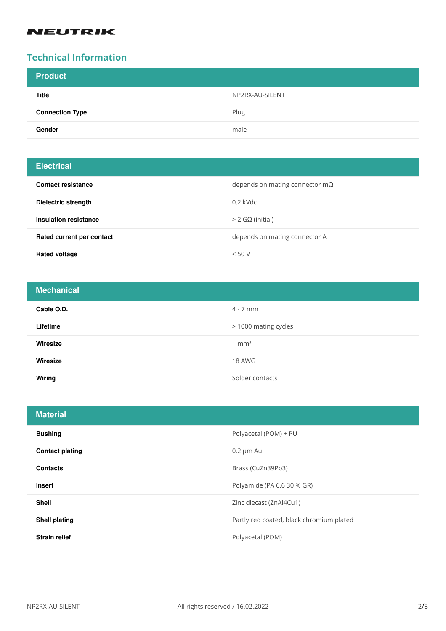### **NEUTRIK**

# **Technical Information**

| <b>Product</b>         |                 |
|------------------------|-----------------|
| <b>Title</b>           | NP2RX-AU-SILENT |
| <b>Connection Type</b> | Plug            |
| Gender                 | male            |

## **Electrical**

| <b>Contact resistance</b> | depends on mating connector $m\Omega$ |
|---------------------------|---------------------------------------|
| Dielectric strength       | $0.2$ kVdc                            |
| Insulation resistance     | $>$ 2 GΩ (initial)                    |
| Rated current per contact | depends on mating connector A         |
| <b>Rated voltage</b>      | < 50 V                                |

| <b>Mechanical</b> |                      |
|-------------------|----------------------|
| Cable O.D.        | $4 - 7$ mm           |
| Lifetime          | > 1000 mating cycles |
| Wiresize          | $1 \text{ mm}^2$     |
| Wiresize          | 18 AWG               |
| Wiring            | Solder contacts      |

| <b>Material</b>        |                                          |
|------------------------|------------------------------------------|
| <b>Bushing</b>         | Polyacetal (POM) + PU                    |
| <b>Contact plating</b> | $0.2 \mu m$ Au                           |
| <b>Contacts</b>        | Brass (CuZn39Pb3)                        |
| <b>Insert</b>          | Polyamide (PA 6.6 30 % GR)               |
| <b>Shell</b>           | Zinc diecast (ZnAl4Cu1)                  |
| <b>Shell plating</b>   | Partly red coated, black chromium plated |
| <b>Strain relief</b>   | Polyacetal (POM)                         |